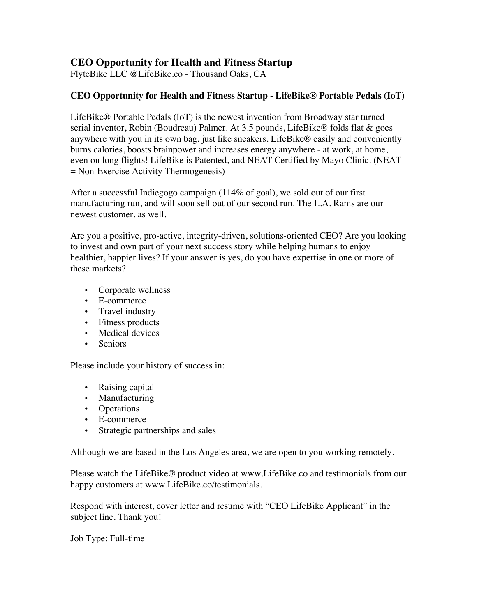## **CEO Opportunity for Health and Fitness Startup**

FlyteBike LLC @LifeBike.co - Thousand Oaks, CA

## **CEO Opportunity for Health and Fitness Startup - LifeBike® Portable Pedals (IoT)**

LifeBike® Portable Pedals (IoT) is the newest invention from Broadway star turned serial inventor, Robin (Boudreau) Palmer. At 3.5 pounds, LifeBike® folds flat & goes anywhere with you in its own bag, just like sneakers. LifeBike® easily and conveniently burns calories, boosts brainpower and increases energy anywhere - at work, at home, even on long flights! LifeBike is Patented, and NEAT Certified by Mayo Clinic. (NEAT = Non-Exercise Activity Thermogenesis)

After a successful Indiegogo campaign (114% of goal), we sold out of our first manufacturing run, and will soon sell out of our second run. The L.A. Rams are our newest customer, as well.

Are you a positive, pro-active, integrity-driven, solutions-oriented CEO? Are you looking to invest and own part of your next success story while helping humans to enjoy healthier, happier lives? If your answer is yes, do you have expertise in one or more of these markets?

- Corporate wellness
- E-commerce
- Travel industry
- Fitness products
- Medical devices
- Seniors

Please include your history of success in:

- Raising capital
- Manufacturing
- Operations
- E-commerce
- Strategic partnerships and sales

Although we are based in the Los Angeles area, we are open to you working remotely.

Please watch the LifeBike® product video at www.LifeBike.co and testimonials from our happy customers at www.LifeBike.co/testimonials.

Respond with interest, cover letter and resume with "CEO LifeBike Applicant" in the subject line. Thank you!

Job Type: Full-time